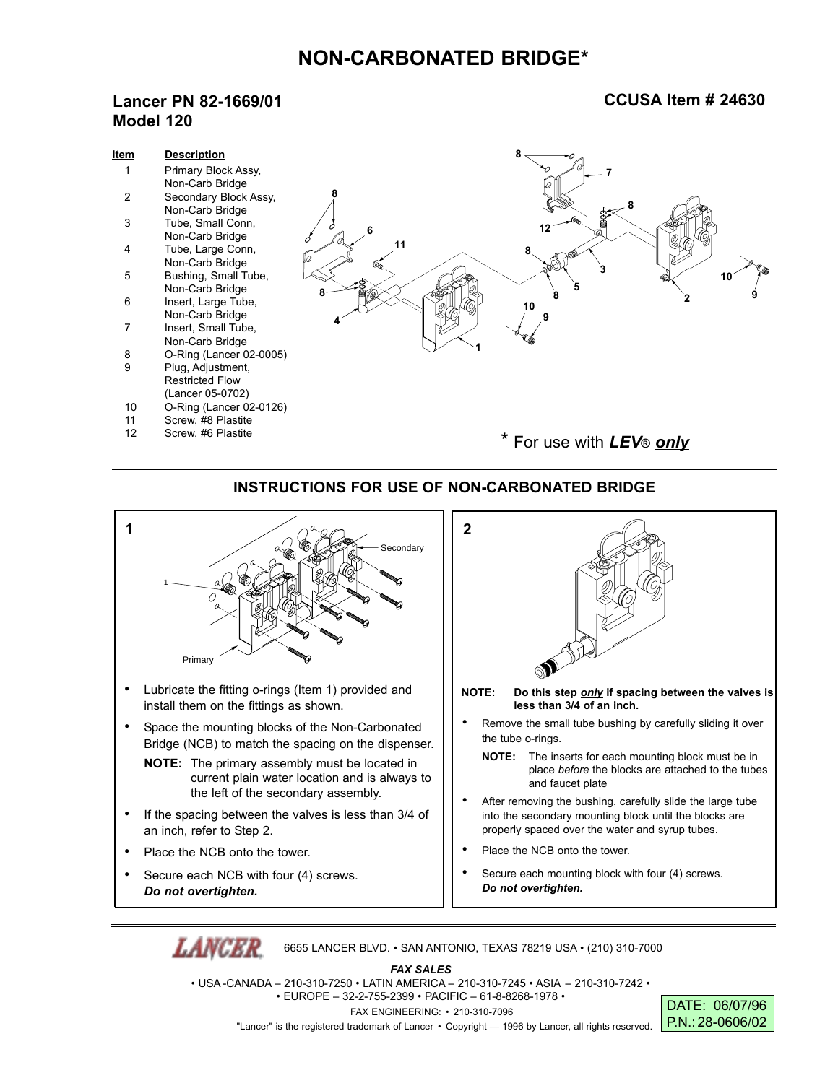## **NON-CARBONATED BRIDGE\***

## **Lancer PN 82-1669/01 Model 120**

## **CCUSA Item # 24630**

| <u>Item</u> | <b>Description</b>                     |                          |
|-------------|----------------------------------------|--------------------------|
|             | Primary Block Assy,                    |                          |
|             | Non-Carb Bridge                        |                          |
| 2           | Secondary Block Assy,                  |                          |
|             | Non-Carb Bridge                        | 82                       |
| 3           | Tube, Small Conn,                      | 12                       |
|             | Non-Carb Bridge                        | 11                       |
| 4           | Tube, Large Conn,                      |                          |
|             | Non-Carb Bridge                        |                          |
| 5           | Bushing, Small Tube,                   | 10                       |
|             | Non-Carb Bridge                        |                          |
| 6           | Insert, Large Tube,                    | 10                       |
| 7           | Non-Carb Bridge<br>Insert, Small Tube, |                          |
|             | Non-Carb Bridge                        |                          |
| 8           | O-Ring (Lancer 02-0005)                |                          |
| 9           | Plug, Adjustment,                      |                          |
|             | <b>Restricted Flow</b>                 |                          |
|             | (Lancer 05-0702)                       |                          |
| 10          | O-Ring (Lancer 02-0126)                |                          |
| 11          | Screw, #8 Plastite                     |                          |
| 12          | Screw, #6 Plastite                     |                          |
|             |                                        | * For use with LEV® only |
|             |                                        |                          |

## **INSTRUCTIONS FOR USE OF NON-CARBONATED BRIDGE**



6655 LANCER BLVD. • SAN ANTONIO, TEXAS 78219 USA • (210) 310-7000

*FAX SALES* • USA -CANADA – 210-310-7250 • LATIN AMERICA – 210-310-7245 • ASIA – 210-310-7242 • • EUROPE – 32-2-755-2399 • PACIFIC – 61-8-8268-1978 • FAX ENGINEERING: • 210-310-7096 "Lancer" is the registered trademark of Lancer • Copyright — 1996 by Lancer, all rights reserved.

DATE: 06/07/96 P.N.: 28-0606/02